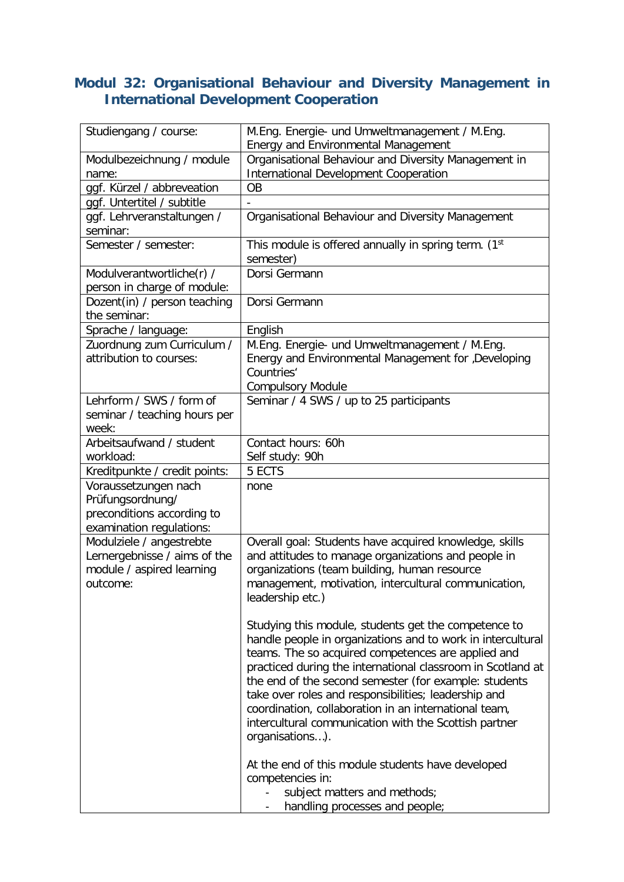## **Modul 32: Organisational Behaviour and Diversity Management in International Development Cooperation**

| Studiengang / course:                                                                              | M.Eng. Energie- und Umweltmanagement / M.Eng.<br><b>Energy and Environmental Management</b>                                                                                                                                                                                                                                                                                                                                                                                                    |
|----------------------------------------------------------------------------------------------------|------------------------------------------------------------------------------------------------------------------------------------------------------------------------------------------------------------------------------------------------------------------------------------------------------------------------------------------------------------------------------------------------------------------------------------------------------------------------------------------------|
| Modulbezeichnung / module<br>name:                                                                 | Organisational Behaviour and Diversity Management in<br><b>International Development Cooperation</b>                                                                                                                                                                                                                                                                                                                                                                                           |
| ggf. Kürzel / abbreveation                                                                         | OB                                                                                                                                                                                                                                                                                                                                                                                                                                                                                             |
| ggf. Untertitel / subtitle                                                                         |                                                                                                                                                                                                                                                                                                                                                                                                                                                                                                |
| ggf. Lehrveranstaltungen /<br>seminar:                                                             | Organisational Behaviour and Diversity Management                                                                                                                                                                                                                                                                                                                                                                                                                                              |
| Semester / semester:                                                                               | This module is offered annually in spring term. (1 <sup>st</sup><br>semester)                                                                                                                                                                                                                                                                                                                                                                                                                  |
| Modulverantwortliche(r) /<br>person in charge of module:                                           | Dorsi Germann                                                                                                                                                                                                                                                                                                                                                                                                                                                                                  |
| Dozent(in) / person teaching<br>the seminar:                                                       | Dorsi Germann                                                                                                                                                                                                                                                                                                                                                                                                                                                                                  |
| Sprache / language:                                                                                | English                                                                                                                                                                                                                                                                                                                                                                                                                                                                                        |
| Zuordnung zum Curriculum /<br>attribution to courses:                                              | M.Eng. Energie- und Umweltmanagement / M.Eng.<br>Energy and Environmental Management for ,Developing<br>Countries'<br><b>Compulsory Module</b>                                                                                                                                                                                                                                                                                                                                                 |
| Lehrform / SWS / form of<br>seminar / teaching hours per<br>week:                                  | Seminar / 4 SWS / up to 25 participants                                                                                                                                                                                                                                                                                                                                                                                                                                                        |
| Arbeitsaufwand / student<br>workload:                                                              | Contact hours: 60h<br>Self study: 90h                                                                                                                                                                                                                                                                                                                                                                                                                                                          |
| Kreditpunkte / credit points:                                                                      | 5 ECTS                                                                                                                                                                                                                                                                                                                                                                                                                                                                                         |
| Voraussetzungen nach<br>Prüfungsordnung/<br>preconditions according to<br>examination regulations: | none                                                                                                                                                                                                                                                                                                                                                                                                                                                                                           |
| Modulziele / angestrebte<br>Lernergebnisse / aims of the<br>module / aspired learning<br>outcome:  | Overall goal: Students have acquired knowledge, skills<br>and attitudes to manage organizations and people in<br>organizations (team building, human resource<br>management, motivation, intercultural communication,<br>leadership etc.)                                                                                                                                                                                                                                                      |
|                                                                                                    | Studying this module, students get the competence to<br>handle people in organizations and to work in intercultural<br>teams. The so acquired competences are applied and<br>practiced during the international classroom in Scotland at<br>the end of the second semester (for example: students<br>take over roles and responsibilities; leadership and<br>coordination, collaboration in an international team,<br>intercultural communication with the Scottish partner<br>organisations). |
|                                                                                                    | At the end of this module students have developed<br>competencies in:<br>subject matters and methods;<br>handling processes and people;                                                                                                                                                                                                                                                                                                                                                        |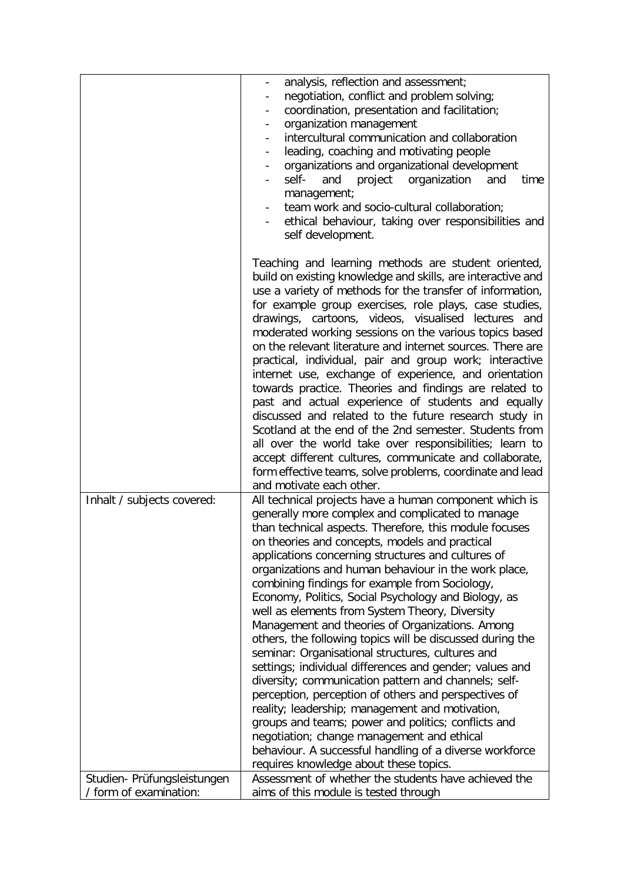|                                                           | analysis, reflection and assessment;<br>negotiation, conflict and problem solving;<br>coordination, presentation and facilitation;<br>organization management<br>intercultural communication and collaboration<br>leading, coaching and motivating people<br>$\blacksquare$<br>organizations and organizational development<br>$\overline{\phantom{a}}$<br>self-<br>and<br>project<br>organization<br>and<br>time<br>management;<br>team work and socio-cultural collaboration;<br>ethical behaviour, taking over responsibilities and<br>self development.                                                                                                                                                                                                                                                                                                                                                                                                                                                                                                                                                                                                          |
|-----------------------------------------------------------|----------------------------------------------------------------------------------------------------------------------------------------------------------------------------------------------------------------------------------------------------------------------------------------------------------------------------------------------------------------------------------------------------------------------------------------------------------------------------------------------------------------------------------------------------------------------------------------------------------------------------------------------------------------------------------------------------------------------------------------------------------------------------------------------------------------------------------------------------------------------------------------------------------------------------------------------------------------------------------------------------------------------------------------------------------------------------------------------------------------------------------------------------------------------|
|                                                           | Teaching and learning methods are student oriented,<br>build on existing knowledge and skills, are interactive and<br>use a variety of methods for the transfer of information,<br>for example group exercises, role plays, case studies,<br>drawings, cartoons, videos, visualised lectures and<br>moderated working sessions on the various topics based<br>on the relevant literature and internet sources. There are<br>practical, individual, pair and group work; interactive<br>internet use, exchange of experience, and orientation<br>towards practice. Theories and findings are related to<br>past and actual experience of students and equally<br>discussed and related to the future research study in<br>Scotland at the end of the 2nd semester. Students from<br>all over the world take over responsibilities; learn to<br>accept different cultures, communicate and collaborate,<br>form effective teams, solve problems, coordinate and lead                                                                                                                                                                                                   |
|                                                           | and motivate each other.                                                                                                                                                                                                                                                                                                                                                                                                                                                                                                                                                                                                                                                                                                                                                                                                                                                                                                                                                                                                                                                                                                                                             |
| Inhalt / subjects covered:<br>Studien- Prüfungsleistungen | All technical projects have a human component which is<br>generally more complex and complicated to manage<br>than technical aspects. Therefore, this module focuses<br>on theories and concepts, models and practical<br>applications concerning structures and cultures of<br>organizations and human behaviour in the work place,<br>combining findings for example from Sociology,<br>Economy, Politics, Social Psychology and Biology, as<br>well as elements from System Theory, Diversity<br>Management and theories of Organizations. Among<br>others, the following topics will be discussed during the<br>seminar: Organisational structures, cultures and<br>settings; individual differences and gender; values and<br>diversity; communication pattern and channels; self-<br>perception, perception of others and perspectives of<br>reality; leadership; management and motivation,<br>groups and teams; power and politics; conflicts and<br>negotiation; change management and ethical<br>behaviour. A successful handling of a diverse workforce<br>requires knowledge about these topics.<br>Assessment of whether the students have achieved the |
| / form of examination:                                    | aims of this module is tested through                                                                                                                                                                                                                                                                                                                                                                                                                                                                                                                                                                                                                                                                                                                                                                                                                                                                                                                                                                                                                                                                                                                                |